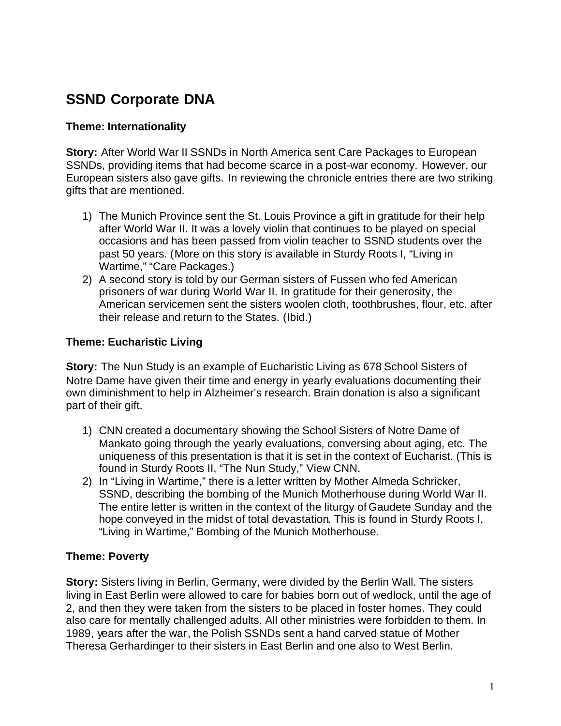# **SSND Corporate DNA**

#### **Theme: Internationality**

**Story:** After World War II SSNDs in North America sent Care Packages to European SSNDs, providing items that had become scarce in a post-war economy. However, our European sisters also gave gifts. In reviewing the chronicle entries there are two striking gifts that are mentioned.

- 1) The Munich Province sent the St. Louis Province a gift in gratitude for their help after World War II. It was a lovely violin that continues to be played on special occasions and has been passed from violin teacher to SSND students over the past 50 years. (More on this story is available in Sturdy Roots I, "Living in Wartime," "Care Packages.)
- 2) A second story is told by our German sisters of Fussen who fed American prisoners of war during World War II. In gratitude for their generosity, the American servicemen sent the sisters woolen cloth, toothbrushes, flour, etc. after their release and return to the States. (Ibid.)

#### **Theme: Eucharistic Living**

**Story:** The Nun Study is an example of Eucharistic Living as 678 School Sisters of Notre Dame have given their time and energy in yearly evaluations documenting their own diminishment to help in Alzheimer's research. Brain donation is also a significant part of their gift.

- 1) CNN created a documentary showing the School Sisters of Notre Dame of Mankato going through the yearly evaluations, conversing about aging, etc. The uniqueness of this presentation is that it is set in the context of Eucharist. (This is found in Sturdy Roots II, "The Nun Study," View CNN.
- 2) In "Living in Wartime," there is a letter written by Mother Almeda Schricker, SSND, describing the bombing of the Munich Motherhouse during World War II. The entire letter is written in the context of the liturgy of Gaudete Sunday and the hope conveyed in the midst of total devastation. This is found in Sturdy Roots I, "Living in Wartime," Bombing of the Munich Motherhouse.

#### **Theme: Poverty**

**Story:** Sisters living in Berlin, Germany, were divided by the Berlin Wall. The sisters living in East Berlin were allowed to care for babies born out of wedlock, until the age of 2, and then they were taken from the sisters to be placed in foster homes. They could also care for mentally challenged adults. All other ministries were forbidden to them. In 1989, years after the war, the Polish SSNDs sent a hand carved statue of Mother Theresa Gerhardinger to their sisters in East Berlin and one also to West Berlin.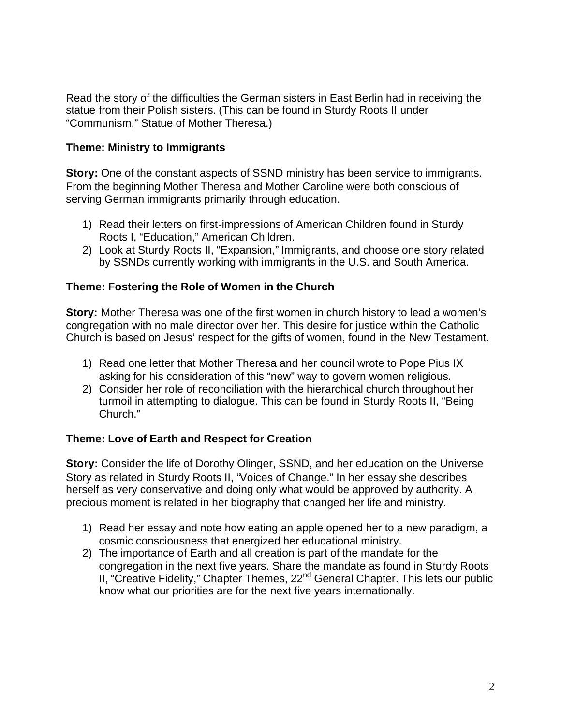Read the story of the difficulties the German sisters in East Berlin had in receiving the statue from their Polish sisters. (This can be found in Sturdy Roots II under "Communism," Statue of Mother Theresa.)

#### **Theme: Ministry to Immigrants**

**Story:** One of the constant aspects of SSND ministry has been service to immigrants. From the beginning Mother Theresa and Mother Caroline were both conscious of serving German immigrants primarily through education.

- 1) Read their letters on first-impressions of American Children found in Sturdy Roots I, "Education," American Children.
- 2) Look at Sturdy Roots II, "Expansion," Immigrants, and choose one story related by SSNDs currently working with immigrants in the U.S. and South America.

## **Theme: Fostering the Role of Women in the Church**

**Story:** Mother Theresa was one of the first women in church history to lead a women's congregation with no male director over her. This desire for justice within the Catholic Church is based on Jesus' respect for the gifts of women, found in the New Testament.

- 1) Read one letter that Mother Theresa and her council wrote to Pope Pius IX asking for his consideration of this "new" way to govern women religious.
- 2) Consider her role of reconciliation with the hierarchical church throughout her turmoil in attempting to dialogue. This can be found in Sturdy Roots II, "Being Church."

#### **Theme: Love of Earth and Respect for Creation**

**Story:** Consider the life of Dorothy Olinger, SSND, and her education on the Universe Story as related in Sturdy Roots II, "Voices of Change." In her essay she describes herself as very conservative and doing only what would be approved by authority. A precious moment is related in her biography that changed her life and ministry.

- 1) Read her essay and note how eating an apple opened her to a new paradigm, a cosmic consciousness that energized her educational ministry.
- 2) The importance of Earth and all creation is part of the mandate for the congregation in the next five years. Share the mandate as found in Sturdy Roots II, "Creative Fidelity," Chapter Themes, 22<sup>nd</sup> General Chapter. This lets our public know what our priorities are for the next five years internationally.